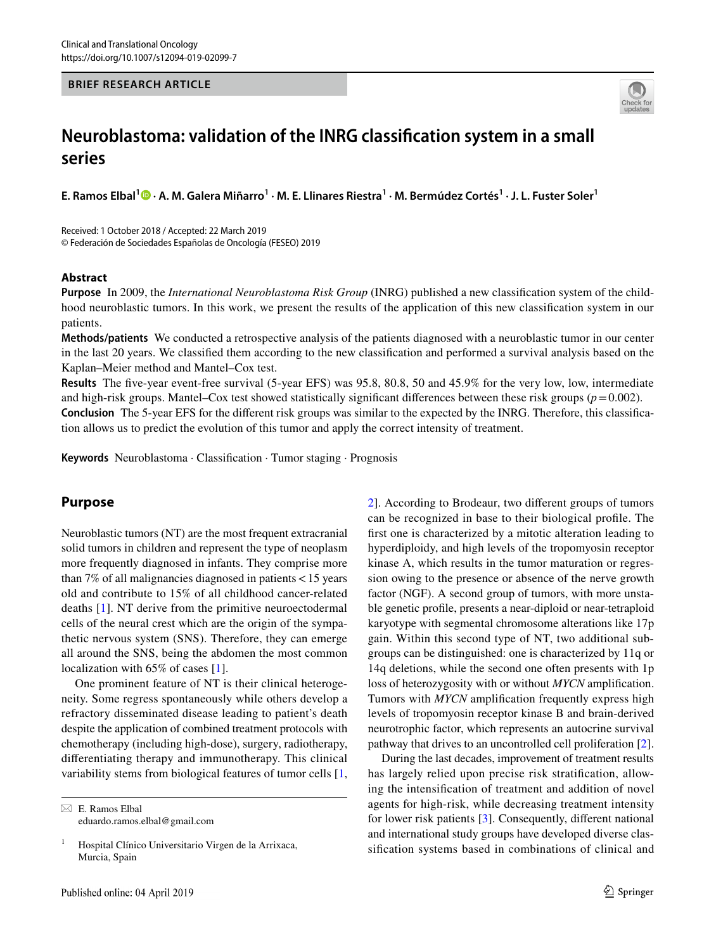#### **BRIEF RESEARCH ARTICLE**



# **Neuroblastoma: validation of the INRG classifcation system in a small series**

**E. Ramos Elbal[1](http://orcid.org/0000-0002-5782-9835) · A. M. Galera Miñarro1 · M. E. Llinares Riestra<sup>1</sup> · M. Bermúdez Cortés1 · J. L. Fuster Soler1**

Received: 1 October 2018 / Accepted: 22 March 2019 © Federación de Sociedades Españolas de Oncología (FESEO) 2019

#### **Abstract**

**Purpose** In 2009, the *International Neuroblastoma Risk Group* (INRG) published a new classifcation system of the childhood neuroblastic tumors. In this work, we present the results of the application of this new classifcation system in our patients.

**Methods/patients** We conducted a retrospective analysis of the patients diagnosed with a neuroblastic tumor in our center in the last 20 years. We classifed them according to the new classifcation and performed a survival analysis based on the Kaplan–Meier method and Mantel–Cox test.

**Results** The five-year event-free survival (5-year EFS) was 95.8, 80.8, 50 and 45.9% for the very low, low, intermediate and high-risk groups. Mantel–Cox test showed statistically significant differences between these risk groups  $(p=0.002)$ .

**Conclusion** The 5-year EFS for the diferent risk groups was similar to the expected by the INRG. Therefore, this classifcation allows us to predict the evolution of this tumor and apply the correct intensity of treatment.

**Keywords** Neuroblastoma · Classifcation · Tumor staging · Prognosis

## **Purpose**

Neuroblastic tumors (NT) are the most frequent extracranial solid tumors in children and represent the type of neoplasm more frequently diagnosed in infants. They comprise more than 7% of all malignancies diagnosed in patients<15 years old and contribute to 15% of all childhood cancer-related deaths [\[1\]](#page-4-0). NT derive from the primitive neuroectodermal cells of the neural crest which are the origin of the sympathetic nervous system (SNS). Therefore, they can emerge all around the SNS, being the abdomen the most common localization with 65% of cases [\[1](#page-4-0)].

One prominent feature of NT is their clinical heterogeneity. Some regress spontaneously while others develop a refractory disseminated disease leading to patient's death despite the application of combined treatment protocols with chemotherapy (including high-dose), surgery, radiotherapy, diferentiating therapy and immunotherapy. This clinical variability stems from biological features of tumor cells [[1,](#page-4-0)

 $\boxtimes$  E. Ramos Elbal eduardo.ramos.elbal@gmail.com [2](#page-4-1)]. According to Brodeaur, two diferent groups of tumors can be recognized in base to their biological profle. The frst one is characterized by a mitotic alteration leading to hyperdiploidy, and high levels of the tropomyosin receptor kinase A, which results in the tumor maturation or regression owing to the presence or absence of the nerve growth factor (NGF). A second group of tumors, with more unstable genetic profle, presents a near-diploid or near-tetraploid karyotype with segmental chromosome alterations like 17p gain. Within this second type of NT, two additional subgroups can be distinguished: one is characterized by 11q or 14q deletions, while the second one often presents with 1p loss of heterozygosity with or without *MYCN* amplifcation. Tumors with *MYCN* amplifcation frequently express high levels of tropomyosin receptor kinase B and brain-derived neurotrophic factor, which represents an autocrine survival pathway that drives to an uncontrolled cell proliferation [\[2](#page-4-1)].

During the last decades, improvement of treatment results has largely relied upon precise risk stratifcation, allowing the intensifcation of treatment and addition of novel agents for high-risk, while decreasing treatment intensity for lower risk patients [\[3](#page-4-2)]. Consequently, diferent national and international study groups have developed diverse classifcation systems based in combinations of clinical and

<sup>&</sup>lt;sup>1</sup> Hospital Clínico Universitario Virgen de la Arrixaca, Murcia, Spain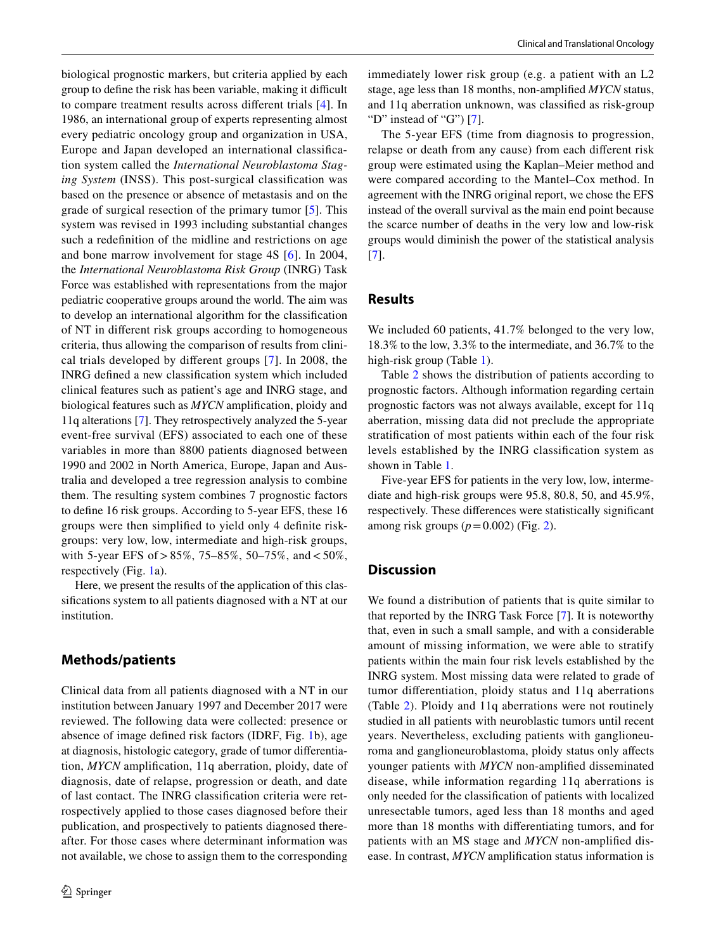biological prognostic markers, but criteria applied by each group to define the risk has been variable, making it difficult to compare treatment results across diferent trials [\[4\]](#page-4-3). In 1986, an international group of experts representing almost every pediatric oncology group and organization in USA, Europe and Japan developed an international classifcation system called the *International Neuroblastoma Staging System* (INSS). This post-surgical classifcation was based on the presence or absence of metastasis and on the grade of surgical resection of the primary tumor [[5](#page-4-4)]. This system was revised in 1993 including substantial changes such a redefnition of the midline and restrictions on age and bone marrow involvement for stage 4S [\[6\]](#page-4-5). In 2004, the *International Neuroblastoma Risk Group* (INRG) Task Force was established with representations from the major pediatric cooperative groups around the world. The aim was to develop an international algorithm for the classifcation of NT in diferent risk groups according to homogeneous criteria, thus allowing the comparison of results from clinical trials developed by diferent groups [\[7\]](#page-4-6). In 2008, the INRG defned a new classifcation system which included clinical features such as patient's age and INRG stage, and biological features such as *MYCN* amplifcation, ploidy and 11q alterations [\[7](#page-4-6)]. They retrospectively analyzed the 5-year event-free survival (EFS) associated to each one of these variables in more than 8800 patients diagnosed between 1990 and 2002 in North America, Europe, Japan and Australia and developed a tree regression analysis to combine them. The resulting system combines 7 prognostic factors to defne 16 risk groups. According to 5-year EFS, these 16 groups were then simplifed to yield only 4 defnite riskgroups: very low, low, intermediate and high-risk groups, with 5-year EFS of  $> 85\%$ , 75–85%, 50–75%, and <50%, respectively (Fig. [1a](#page-2-0)).

Here, we present the results of the application of this classifcations system to all patients diagnosed with a NT at our institution.

#### **Methods/patients**

Clinical data from all patients diagnosed with a NT in our institution between January 1997 and December 2017 were reviewed. The following data were collected: presence or absence of image defned risk factors (IDRF, Fig. [1](#page-2-0)b), age at diagnosis, histologic category, grade of tumor diferentiation, *MYCN* amplifcation, 11q aberration, ploidy, date of diagnosis, date of relapse, progression or death, and date of last contact. The INRG classifcation criteria were retrospectively applied to those cases diagnosed before their publication, and prospectively to patients diagnosed thereafter. For those cases where determinant information was not available, we chose to assign them to the corresponding immediately lower risk group (e.g. a patient with an L2 stage, age less than 18 months, non-amplifed *MYCN* status, and 11q aberration unknown, was classifed as risk-group "D" instead of "G")  $[7]$  $[7]$ .

The 5-year EFS (time from diagnosis to progression, relapse or death from any cause) from each diferent risk group were estimated using the Kaplan–Meier method and were compared according to the Mantel–Cox method. In agreement with the INRG original report, we chose the EFS instead of the overall survival as the main end point because the scarce number of deaths in the very low and low-risk groups would diminish the power of the statistical analysis [[7\]](#page-4-6).

#### **Results**

We included 60 patients, 41.7% belonged to the very low, 18.3% to the low, 3.3% to the intermediate, and 36.7% to the high-risk group (Table [1\)](#page-3-0).

Table [2](#page-3-1) shows the distribution of patients according to prognostic factors. Although information regarding certain prognostic factors was not always available, except for 11q aberration, missing data did not preclude the appropriate stratifcation of most patients within each of the four risk levels established by the INRG classifcation system as shown in Table [1](#page-3-0).

Five-year EFS for patients in the very low, low, intermediate and high-risk groups were 95.8, 80.8, 50, and 45.9%, respectively. These diferences were statistically signifcant among risk groups (*p*=0.002) (Fig. [2](#page-4-7)).

### **Discussion**

We found a distribution of patients that is quite similar to that reported by the INRG Task Force [[7\]](#page-4-6). It is noteworthy that, even in such a small sample, and with a considerable amount of missing information, we were able to stratify patients within the main four risk levels established by the INRG system. Most missing data were related to grade of tumor diferentiation, ploidy status and 11q aberrations (Table [2](#page-3-1)). Ploidy and 11q aberrations were not routinely studied in all patients with neuroblastic tumors until recent years. Nevertheless, excluding patients with ganglioneuroma and ganglioneuroblastoma, ploidy status only afects younger patients with *MYCN* non-amplifed disseminated disease, while information regarding 11q aberrations is only needed for the classifcation of patients with localized unresectable tumors, aged less than 18 months and aged more than 18 months with diferentiating tumors, and for patients with an MS stage and *MYCN* non-amplifed disease. In contrast, *MYCN* amplifcation status information is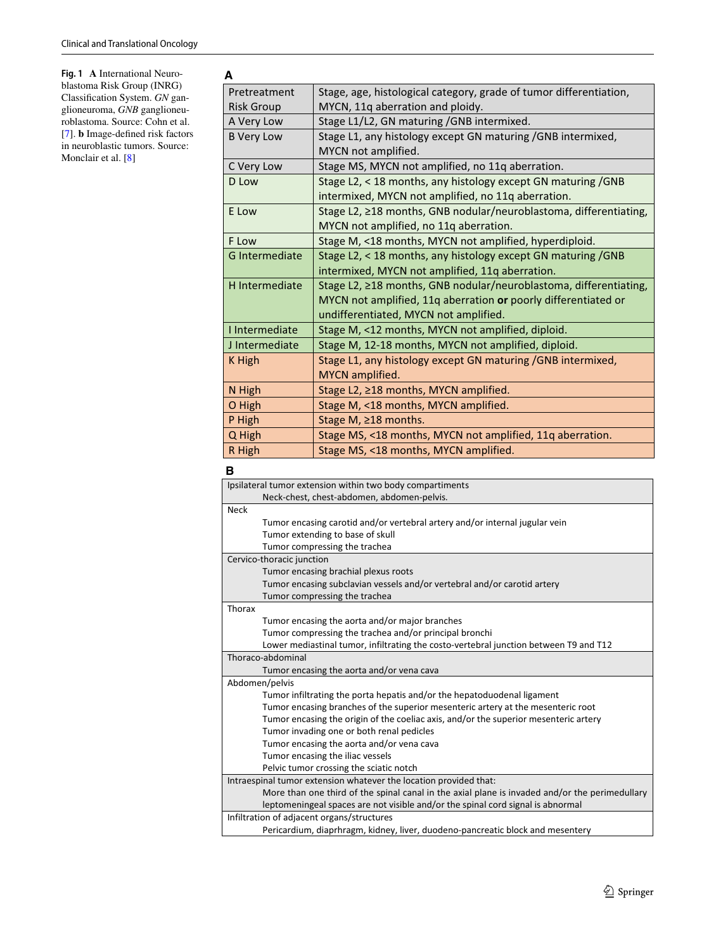<span id="page-2-0"></span>**Fig. 1 A** International Neuroblastoma Risk Group (INRG) Classifcation System. *GN* ganglioneuroma, *GNB* ganglioneuroblastoma. Source: Cohn et al. [[7](#page-4-6)]. **b** Image-defned risk factors in neuroblastic tumors. Source: Monclair et al. [<mark>8</mark>]

| A                                                                          |                                                                    |  |  |
|----------------------------------------------------------------------------|--------------------------------------------------------------------|--|--|
| Pretreatment                                                               | Stage, age, histological category, grade of tumor differentiation, |  |  |
| <b>Risk Group</b>                                                          | MYCN, 11q aberration and ploidy.                                   |  |  |
| A Very Low                                                                 | Stage L1/L2, GN maturing / GNB intermixed.                         |  |  |
| <b>B Very Low</b>                                                          | Stage L1, any histology except GN maturing / GNB intermixed,       |  |  |
|                                                                            | MYCN not amplified.                                                |  |  |
| C Very Low                                                                 | Stage MS, MYCN not amplified, no 11q aberration.                   |  |  |
| D Low                                                                      | Stage L2, < 18 months, any histology except GN maturing / GNB      |  |  |
|                                                                            | intermixed, MYCN not amplified, no 11q aberration.                 |  |  |
| Stage L2, ≥18 months, GNB nodular/neuroblastoma, differentiating,<br>E Low |                                                                    |  |  |
|                                                                            | MYCN not amplified, no 11q aberration.                             |  |  |
| F Low                                                                      | Stage M, <18 months, MYCN not amplified, hyperdiploid.             |  |  |
| <b>G</b> Intermediate                                                      | Stage L2, < 18 months, any histology except GN maturing / GNB      |  |  |
|                                                                            | intermixed, MYCN not amplified, 11q aberration.                    |  |  |
| <b>H</b> Intermediate                                                      | Stage L2, ≥18 months, GNB nodular/neuroblastoma, differentiating,  |  |  |
|                                                                            | MYCN not amplified, 11q aberration or poorly differentiated or     |  |  |
|                                                                            | undifferentiated, MYCN not amplified.                              |  |  |
| I Intermediate                                                             | Stage M, <12 months, MYCN not amplified, diploid.                  |  |  |
| J Intermediate                                                             | Stage M, 12-18 months, MYCN not amplified, diploid.                |  |  |
| K High                                                                     | Stage L1, any histology except GN maturing / GNB intermixed,       |  |  |
|                                                                            | MYCN amplified.                                                    |  |  |
| N High                                                                     | Stage L2, ≥18 months, MYCN amplified.                              |  |  |
| O High                                                                     | Stage M, <18 months, MYCN amplified.                               |  |  |
| P High                                                                     | Stage M, ≥18 months.                                               |  |  |
| Q High                                                                     | Stage MS, <18 months, MYCN not amplified, 11q aberration.          |  |  |
| R High                                                                     | Stage MS, <18 months, MYCN amplified.                              |  |  |

#### **B**

| Ipsilateral tumor extension within two body compartiments                      |                                                                                                |  |  |  |
|--------------------------------------------------------------------------------|------------------------------------------------------------------------------------------------|--|--|--|
|                                                                                | Neck-chest, chest-abdomen, abdomen-pelvis.                                                     |  |  |  |
| <b>Neck</b>                                                                    |                                                                                                |  |  |  |
|                                                                                | Tumor encasing carotid and/or vertebral artery and/or internal jugular vein                    |  |  |  |
|                                                                                | Tumor extending to base of skull                                                               |  |  |  |
|                                                                                | Tumor compressing the trachea                                                                  |  |  |  |
| Cervico-thoracic junction                                                      |                                                                                                |  |  |  |
|                                                                                | Tumor encasing brachial plexus roots                                                           |  |  |  |
|                                                                                | Tumor encasing subclavian vessels and/or vertebral and/or carotid artery                       |  |  |  |
|                                                                                | Tumor compressing the trachea                                                                  |  |  |  |
| Thorax                                                                         |                                                                                                |  |  |  |
|                                                                                | Tumor encasing the aorta and/or major branches                                                 |  |  |  |
|                                                                                | Tumor compressing the trachea and/or principal bronchi                                         |  |  |  |
|                                                                                | Lower mediastinal tumor, infiltrating the costo-vertebral junction between T9 and T12          |  |  |  |
|                                                                                | Thoraco-abdominal                                                                              |  |  |  |
|                                                                                | Tumor encasing the aorta and/or vena cava                                                      |  |  |  |
| Abdomen/pelvis                                                                 |                                                                                                |  |  |  |
|                                                                                | Tumor infiltrating the porta hepatis and/or the hepatoduodenal ligament                        |  |  |  |
|                                                                                | Tumor encasing branches of the superior mesenteric artery at the mesenteric root               |  |  |  |
|                                                                                | Tumor encasing the origin of the coeliac axis, and/or the superior mesenteric artery           |  |  |  |
|                                                                                | Tumor invading one or both renal pedicles                                                      |  |  |  |
|                                                                                | Tumor encasing the aorta and/or vena cava                                                      |  |  |  |
|                                                                                | Tumor encasing the iliac vessels                                                               |  |  |  |
|                                                                                | Pelvic tumor crossing the sciatic notch                                                        |  |  |  |
| Intraespinal tumor extension whatever the location provided that:              |                                                                                                |  |  |  |
|                                                                                | More than one third of the spinal canal in the axial plane is invaded and/or the perimedullary |  |  |  |
|                                                                                | leptomeningeal spaces are not visible and/or the spinal cord signal is abnormal                |  |  |  |
| Infiltration of adjacent organs/structures                                     |                                                                                                |  |  |  |
| Pericardium, diaprhragm, kidney, liver, duodeno-pancreatic block and mesentery |                                                                                                |  |  |  |
|                                                                                |                                                                                                |  |  |  |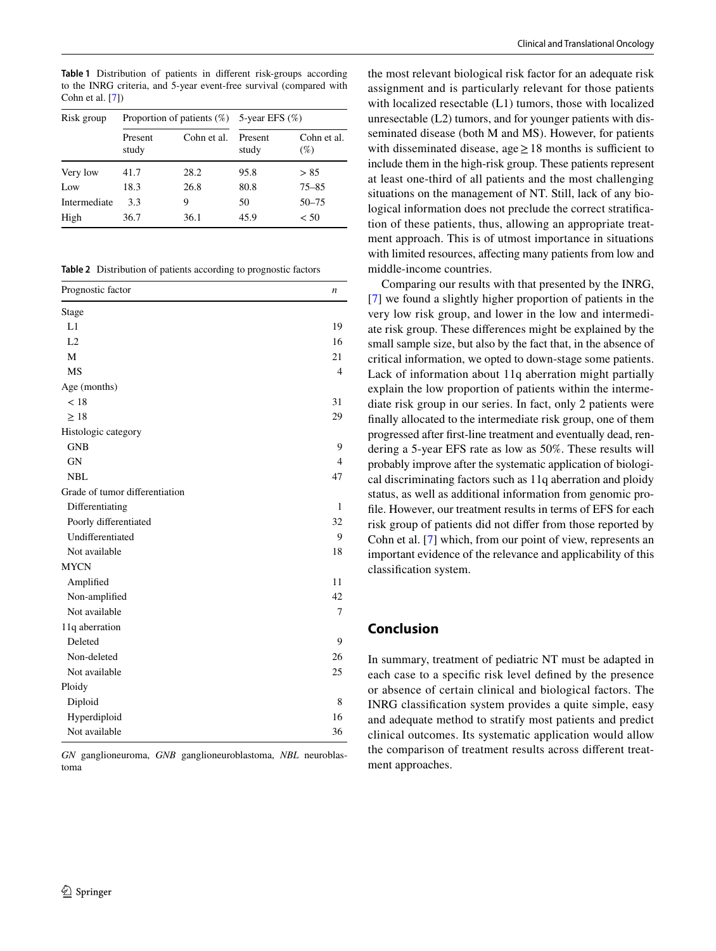<span id="page-3-0"></span>**Table 1** Distribution of patients in diferent risk-groups according to the INRG criteria, and 5-year event-free survival (compared with Cohn et al. [[7](#page-4-6)])

| Risk group   | Proportion of patients $(\%)$ 5-year EFS $(\%)$ |             |                  |                       |
|--------------|-------------------------------------------------|-------------|------------------|-----------------------|
|              | Present<br>study                                | Cohn et al. | Present<br>study | Cohn et al.<br>$(\%)$ |
| Very low     | 41.7                                            | 28.2        | 95.8             | > 85                  |
| Low          | 18.3                                            | 26.8        | 80.8             | $75 - 85$             |
| Intermediate | 3.3                                             | 9           | 50               | $50 - 75$             |
| High         | 36.7                                            | 36.1        | 45.9             | < 50                  |

<span id="page-3-1"></span>**Table 2** Distribution of patients according to prognostic factors

| Prognostic factor              | $\boldsymbol{n}$ |
|--------------------------------|------------------|
| Stage                          |                  |
| L1                             | 19               |
| L2                             | 16               |
| M                              | 21               |
| <b>MS</b>                      | $\overline{4}$   |
| Age (months)                   |                  |
| < 18                           | 31               |
| $\geq 18$                      | 29               |
| Histologic category            |                  |
| <b>GNB</b>                     | 9                |
| <b>GN</b>                      | $\overline{4}$   |
| <b>NBL</b>                     | 47               |
| Grade of tumor differentiation |                  |
| Differentiating                | $\mathbf{1}$     |
| Poorly differentiated          | 32               |
| Undifferentiated               | 9                |
| Not available                  | 18               |
| <b>MYCN</b>                    |                  |
| Amplified                      | 11               |
| Non-amplified                  | 42               |
| Not available                  | 7                |
| 11q aberration                 |                  |
| Deleted                        | 9                |
| Non-deleted                    | 26               |
| Not available                  | 25               |
| Ploidy                         |                  |
| Diploid                        | 8                |
| Hyperdiploid                   | 16               |
| Not available                  | 36               |

*GN* ganglioneuroma, *GNB* ganglioneuroblastoma, *NBL* neuroblastoma

the most relevant biological risk factor for an adequate risk assignment and is particularly relevant for those patients with localized resectable (L1) tumors, those with localized unresectable (L2) tumors, and for younger patients with disseminated disease (both M and MS). However, for patients with disseminated disease, age  $\geq$  18 months is sufficient to include them in the high-risk group. These patients represent at least one-third of all patients and the most challenging situations on the management of NT. Still, lack of any biological information does not preclude the correct stratifcation of these patients, thus, allowing an appropriate treatment approach. This is of utmost importance in situations with limited resources, afecting many patients from low and middle-income countries.

Comparing our results with that presented by the INRG, [[7\]](#page-4-6) we found a slightly higher proportion of patients in the very low risk group, and lower in the low and intermediate risk group. These diferences might be explained by the small sample size, but also by the fact that, in the absence of critical information, we opted to down-stage some patients. Lack of information about 11q aberration might partially explain the low proportion of patients within the intermediate risk group in our series. In fact, only 2 patients were fnally allocated to the intermediate risk group, one of them progressed after frst-line treatment and eventually dead, rendering a 5-year EFS rate as low as 50%. These results will probably improve after the systematic application of biological discriminating factors such as 11q aberration and ploidy status, as well as additional information from genomic profle. However, our treatment results in terms of EFS for each risk group of patients did not difer from those reported by Cohn et al. [[7\]](#page-4-6) which, from our point of view, represents an important evidence of the relevance and applicability of this classifcation system.

# **Conclusion**

In summary, treatment of pediatric NT must be adapted in each case to a specifc risk level defned by the presence or absence of certain clinical and biological factors. The INRG classifcation system provides a quite simple, easy and adequate method to stratify most patients and predict clinical outcomes. Its systematic application would allow the comparison of treatment results across diferent treatment approaches.